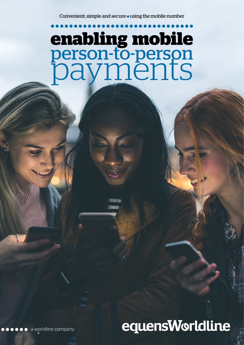# **enabling mobile**  person-to-person<br>payments

# equensWorldline

**O O O O** a worldline company